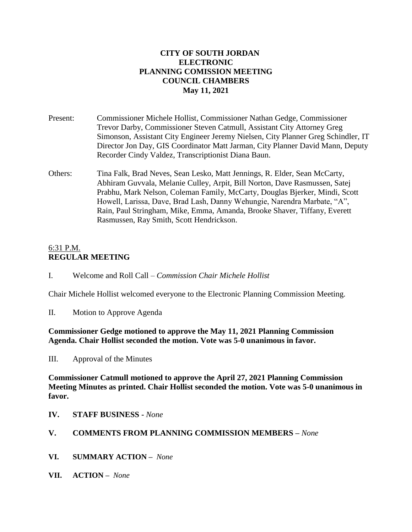## **CITY OF SOUTH JORDAN ELECTRONIC PLANNING COMISSION MEETING COUNCIL CHAMBERS May 11, 2021**

- Present: Commissioner Michele Hollist, Commissioner Nathan Gedge, Commissioner Trevor Darby, Commissioner Steven Catmull, Assistant City Attorney Greg Simonson, Assistant City Engineer Jeremy Nielsen, City Planner Greg Schindler, IT Director Jon Day, GIS Coordinator Matt Jarman, City Planner David Mann, Deputy Recorder Cindy Valdez, Transcriptionist Diana Baun.
- Others: Tina Falk, Brad Neves, Sean Lesko, Matt Jennings, R. Elder, Sean McCarty, Abhiram Guvvala, Melanie Culley, Arpit, Bill Norton, Dave Rasmussen, Satej Prabhu, Mark Nelson, Coleman Family, McCarty, Douglas Bjerker, Mindi, Scott Howell, Larissa, Dave, Brad Lash, Danny Wehungie, Narendra Marbate, "A", Rain, Paul Stringham, Mike, Emma, Amanda, Brooke Shaver, Tiffany, Everett Rasmussen, Ray Smith, Scott Hendrickson.

## 6:31 P.M. **REGULAR MEETING**

I. Welcome and Roll Call – *Commission Chair Michele Hollist*

Chair Michele Hollist welcomed everyone to the Electronic Planning Commission Meeting.

II. Motion to Approve Agenda

**Commissioner Gedge motioned to approve the May 11, 2021 Planning Commission Agenda. Chair Hollist seconded the motion. Vote was 5-0 unanimous in favor.**

III. Approval of the Minutes

**Commissioner Catmull motioned to approve the April 27, 2021 Planning Commission Meeting Minutes as printed. Chair Hollist seconded the motion. Vote was 5-0 unanimous in favor.**

**IV. STAFF BUSINESS -** *None*

### **V. COMMENTS FROM PLANNING COMMISSION MEMBERS –** *None*

- **VI. SUMMARY ACTION –** *None*
- **VII. ACTION –** *None*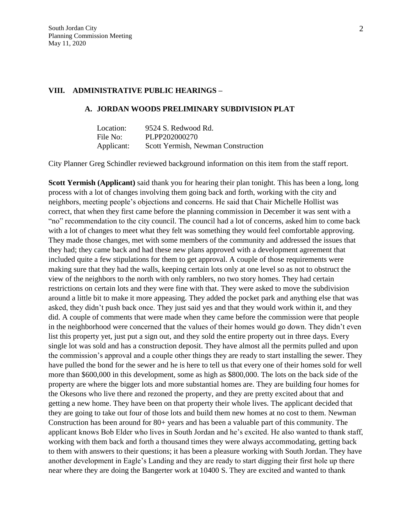### **VIII. ADMINISTRATIVE PUBLIC HEARINGS –**

### **A. JORDAN WOODS PRELIMINARY SUBDIVISION PLAT**

| Location:  | 9524 S. Redwood Rd.                |
|------------|------------------------------------|
| File No:   | PLPP202000270                      |
| Applicant: | Scott Yermish, Newman Construction |

City Planner Greg Schindler reviewed background information on this item from the staff report.

**Scott Yermish (Applicant)** said thank you for hearing their plan tonight. This has been a long, long process with a lot of changes involving them going back and forth, working with the city and neighbors, meeting people's objections and concerns. He said that Chair Michelle Hollist was correct, that when they first came before the planning commission in December it was sent with a "no" recommendation to the city council. The council had a lot of concerns, asked him to come back with a lot of changes to meet what they felt was something they would feel comfortable approving. They made those changes, met with some members of the community and addressed the issues that they had; they came back and had these new plans approved with a development agreement that included quite a few stipulations for them to get approval. A couple of those requirements were making sure that they had the walls, keeping certain lots only at one level so as not to obstruct the view of the neighbors to the north with only ramblers, no two story homes. They had certain restrictions on certain lots and they were fine with that. They were asked to move the subdivision around a little bit to make it more appeasing. They added the pocket park and anything else that was asked, they didn't push back once. They just said yes and that they would work within it, and they did. A couple of comments that were made when they came before the commission were that people in the neighborhood were concerned that the values of their homes would go down. They didn't even list this property yet, just put a sign out, and they sold the entire property out in three days. Every single lot was sold and has a construction deposit. They have almost all the permits pulled and upon the commission's approval and a couple other things they are ready to start installing the sewer. They have pulled the bond for the sewer and he is here to tell us that every one of their homes sold for well more than \$600,000 in this development, some as high as \$800,000. The lots on the back side of the property are where the bigger lots and more substantial homes are. They are building four homes for the Okesons who live there and rezoned the property, and they are pretty excited about that and getting a new home. They have been on that property their whole lives. The applicant decided that they are going to take out four of those lots and build them new homes at no cost to them. Newman Construction has been around for 80+ years and has been a valuable part of this community. The applicant knows Bob Elder who lives in South Jordan and he's excited. He also wanted to thank staff, working with them back and forth a thousand times they were always accommodating, getting back to them with answers to their questions; it has been a pleasure working with South Jordan. They have another development in Eagle's Landing and they are ready to start digging their first hole up there near where they are doing the Bangerter work at 10400 S. They are excited and wanted to thank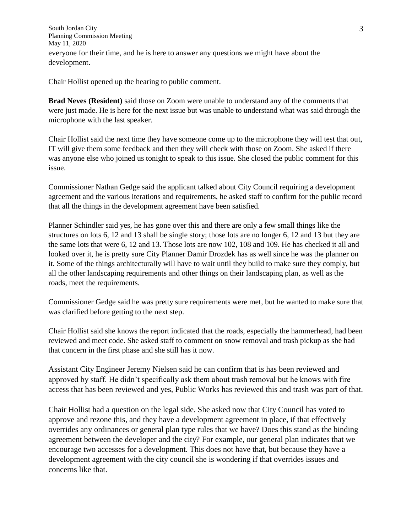South Jordan City Planning Commission Meeting May 11, 2020 everyone for their time, and he is here to answer any questions we might have about the development.

Chair Hollist opened up the hearing to public comment.

**Brad Neves (Resident)** said those on Zoom were unable to understand any of the comments that were just made. He is here for the next issue but was unable to understand what was said through the microphone with the last speaker.

Chair Hollist said the next time they have someone come up to the microphone they will test that out, IT will give them some feedback and then they will check with those on Zoom. She asked if there was anyone else who joined us tonight to speak to this issue. She closed the public comment for this issue.

Commissioner Nathan Gedge said the applicant talked about City Council requiring a development agreement and the various iterations and requirements, he asked staff to confirm for the public record that all the things in the development agreement have been satisfied.

Planner Schindler said yes, he has gone over this and there are only a few small things like the structures on lots 6, 12 and 13 shall be single story; those lots are no longer 6, 12 and 13 but they are the same lots that were 6, 12 and 13. Those lots are now 102, 108 and 109. He has checked it all and looked over it, he is pretty sure City Planner Damir Drozdek has as well since he was the planner on it. Some of the things architecturally will have to wait until they build to make sure they comply, but all the other landscaping requirements and other things on their landscaping plan, as well as the roads, meet the requirements.

Commissioner Gedge said he was pretty sure requirements were met, but he wanted to make sure that was clarified before getting to the next step.

Chair Hollist said she knows the report indicated that the roads, especially the hammerhead, had been reviewed and meet code. She asked staff to comment on snow removal and trash pickup as she had that concern in the first phase and she still has it now.

Assistant City Engineer Jeremy Nielsen said he can confirm that is has been reviewed and approved by staff. He didn't specifically ask them about trash removal but he knows with fire access that has been reviewed and yes, Public Works has reviewed this and trash was part of that.

Chair Hollist had a question on the legal side. She asked now that City Council has voted to approve and rezone this, and they have a development agreement in place, if that effectively overrides any ordinances or general plan type rules that we have? Does this stand as the binding agreement between the developer and the city? For example, our general plan indicates that we encourage two accesses for a development. This does not have that, but because they have a development agreement with the city council she is wondering if that overrides issues and concerns like that.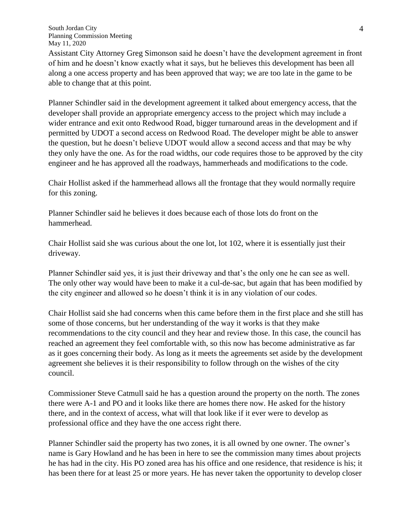Assistant City Attorney Greg Simonson said he doesn't have the development agreement in front of him and he doesn't know exactly what it says, but he believes this development has been all along a one access property and has been approved that way; we are too late in the game to be able to change that at this point.

Planner Schindler said in the development agreement it talked about emergency access, that the developer shall provide an appropriate emergency access to the project which may include a wider entrance and exit onto Redwood Road, bigger turnaround areas in the development and if permitted by UDOT a second access on Redwood Road. The developer might be able to answer the question, but he doesn't believe UDOT would allow a second access and that may be why they only have the one. As for the road widths, our code requires those to be approved by the city engineer and he has approved all the roadways, hammerheads and modifications to the code.

Chair Hollist asked if the hammerhead allows all the frontage that they would normally require for this zoning.

Planner Schindler said he believes it does because each of those lots do front on the hammerhead.

Chair Hollist said she was curious about the one lot, lot 102, where it is essentially just their driveway.

Planner Schindler said yes, it is just their driveway and that's the only one he can see as well. The only other way would have been to make it a cul-de-sac, but again that has been modified by the city engineer and allowed so he doesn't think it is in any violation of our codes.

Chair Hollist said she had concerns when this came before them in the first place and she still has some of those concerns, but her understanding of the way it works is that they make recommendations to the city council and they hear and review those. In this case, the council has reached an agreement they feel comfortable with, so this now has become administrative as far as it goes concerning their body. As long as it meets the agreements set aside by the development agreement she believes it is their responsibility to follow through on the wishes of the city council.

Commissioner Steve Catmull said he has a question around the property on the north. The zones there were A-1 and PO and it looks like there are homes there now. He asked for the history there, and in the context of access, what will that look like if it ever were to develop as professional office and they have the one access right there.

Planner Schindler said the property has two zones, it is all owned by one owner. The owner's name is Gary Howland and he has been in here to see the commission many times about projects he has had in the city. His PO zoned area has his office and one residence, that residence is his; it has been there for at least 25 or more years. He has never taken the opportunity to develop closer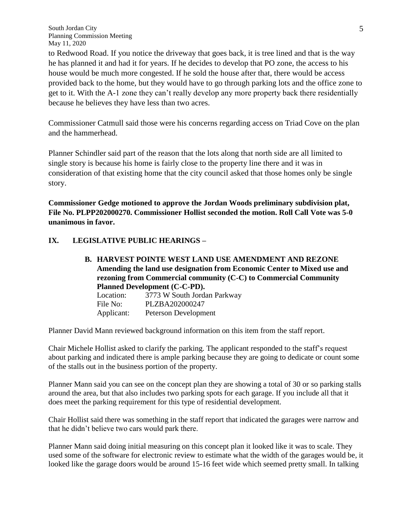to Redwood Road. If you notice the driveway that goes back, it is tree lined and that is the way he has planned it and had it for years. If he decides to develop that PO zone, the access to his house would be much more congested. If he sold the house after that, there would be access provided back to the home, but they would have to go through parking lots and the office zone to get to it. With the A-1 zone they can't really develop any more property back there residentially because he believes they have less than two acres.

Commissioner Catmull said those were his concerns regarding access on Triad Cove on the plan and the hammerhead.

Planner Schindler said part of the reason that the lots along that north side are all limited to single story is because his home is fairly close to the property line there and it was in consideration of that existing home that the city council asked that those homes only be single story.

**Commissioner Gedge motioned to approve the Jordan Woods preliminary subdivision plat, File No. PLPP202000270. Commissioner Hollist seconded the motion. Roll Call Vote was 5-0 unanimous in favor.**

## **IX. LEGISLATIVE PUBLIC HEARINGS –**

| <b>B. HARVEST POINTE WEST LAND USE AMENDMENT AND REZONE</b>             |                             |  |
|-------------------------------------------------------------------------|-----------------------------|--|
| Amending the land use designation from Economic Center to Mixed use and |                             |  |
| rezoning from Commercial community (C-C) to Commercial Community        |                             |  |
| Planned Development (C-C-PD).                                           |                             |  |
| Location:                                                               | 3773 W South Jordan Parkway |  |
| File No:                                                                | PLZBA202000247              |  |
| Applicant:                                                              | Peterson Development        |  |
|                                                                         |                             |  |

Planner David Mann reviewed background information on this item from the staff report.

Chair Michele Hollist asked to clarify the parking. The applicant responded to the staff's request about parking and indicated there is ample parking because they are going to dedicate or count some of the stalls out in the business portion of the property.

Planner Mann said you can see on the concept plan they are showing a total of 30 or so parking stalls around the area, but that also includes two parking spots for each garage. If you include all that it does meet the parking requirement for this type of residential development.

Chair Hollist said there was something in the staff report that indicated the garages were narrow and that he didn't believe two cars would park there.

Planner Mann said doing initial measuring on this concept plan it looked like it was to scale. They used some of the software for electronic review to estimate what the width of the garages would be, it looked like the garage doors would be around 15-16 feet wide which seemed pretty small. In talking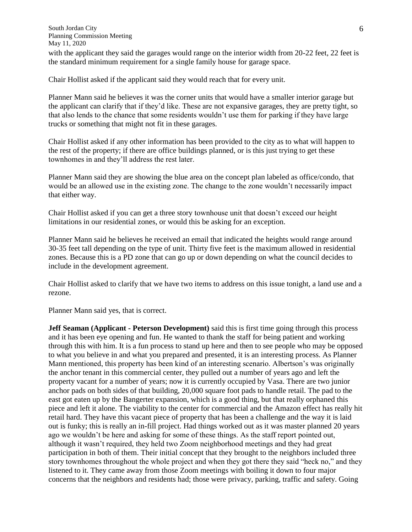with the applicant they said the garages would range on the interior width from 20-22 feet, 22 feet is the standard minimum requirement for a single family house for garage space.

Chair Hollist asked if the applicant said they would reach that for every unit.

Planner Mann said he believes it was the corner units that would have a smaller interior garage but the applicant can clarify that if they'd like. These are not expansive garages, they are pretty tight, so that also lends to the chance that some residents wouldn't use them for parking if they have large trucks or something that might not fit in these garages.

Chair Hollist asked if any other information has been provided to the city as to what will happen to the rest of the property; if there are office buildings planned, or is this just trying to get these townhomes in and they'll address the rest later.

Planner Mann said they are showing the blue area on the concept plan labeled as office/condo, that would be an allowed use in the existing zone. The change to the zone wouldn't necessarily impact that either way.

Chair Hollist asked if you can get a three story townhouse unit that doesn't exceed our height limitations in our residential zones, or would this be asking for an exception.

Planner Mann said he believes he received an email that indicated the heights would range around 30-35 feet tall depending on the type of unit. Thirty five feet is the maximum allowed in residential zones. Because this is a PD zone that can go up or down depending on what the council decides to include in the development agreement.

Chair Hollist asked to clarify that we have two items to address on this issue tonight, a land use and a rezone.

Planner Mann said yes, that is correct.

**Jeff Seaman (Applicant - Peterson Development)** said this is first time going through this process and it has been eye opening and fun. He wanted to thank the staff for being patient and working through this with him. It is a fun process to stand up here and then to see people who may be opposed to what you believe in and what you prepared and presented, it is an interesting process. As Planner Mann mentioned, this property has been kind of an interesting scenario. Albertson's was originally the anchor tenant in this commercial center, they pulled out a number of years ago and left the property vacant for a number of years; now it is currently occupied by Vasa. There are two junior anchor pads on both sides of that building, 20,000 square foot pads to handle retail. The pad to the east got eaten up by the Bangerter expansion, which is a good thing, but that really orphaned this piece and left it alone. The viability to the center for commercial and the Amazon effect has really hit retail hard. They have this vacant piece of property that has been a challenge and the way it is laid out is funky; this is really an in-fill project. Had things worked out as it was master planned 20 years ago we wouldn't be here and asking for some of these things. As the staff report pointed out, although it wasn't required, they held two Zoom neighborhood meetings and they had great participation in both of them. Their initial concept that they brought to the neighbors included three story townhomes throughout the whole project and when they got there they said "heck no," and they listened to it. They came away from those Zoom meetings with boiling it down to four major concerns that the neighbors and residents had; those were privacy, parking, traffic and safety. Going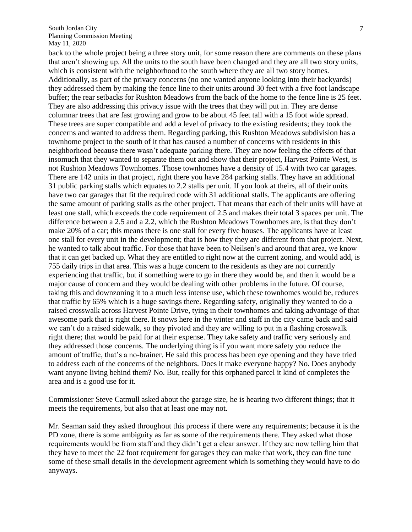back to the whole project being a three story unit, for some reason there are comments on these plans that aren't showing up. All the units to the south have been changed and they are all two story units, which is consistent with the neighborhood to the south where they are all two story homes. Additionally, as part of the privacy concerns (no one wanted anyone looking into their backyards) they addressed them by making the fence line to their units around 30 feet with a five foot landscape buffer; the rear setbacks for Rushton Meadows from the back of the home to the fence line is 25 feet. They are also addressing this privacy issue with the trees that they will put in. They are dense columnar trees that are fast growing and grow to be about 45 feet tall with a 15 foot wide spread. These trees are super compatible and add a level of privacy to the existing residents; they took the concerns and wanted to address them. Regarding parking, this Rushton Meadows subdivision has a townhome project to the south of it that has caused a number of concerns with residents in this neighborhood because there wasn't adequate parking there. They are now feeling the effects of that insomuch that they wanted to separate them out and show that their project, Harvest Pointe West, is not Rushton Meadows Townhomes. Those townhomes have a density of 15.4 with two car garages. There are 142 units in that project, right there you have 284 parking stalls. They have an additional 31 public parking stalls which equates to 2.2 stalls per unit. If you look at theirs, all of their units have two car garages that fit the required code with 31 additional stalls. The applicants are offering the same amount of parking stalls as the other project. That means that each of their units will have at least one stall, which exceeds the code requirement of 2.5 and makes their total 3 spaces per unit. The difference between a 2.5 and a 2.2, which the Rushton Meadows Townhomes are, is that they don't make 20% of a car; this means there is one stall for every five houses. The applicants have at least one stall for every unit in the development; that is how they they are different from that project. Next, he wanted to talk about traffic. For those that have been to Neilsen's and around that area, we know that it can get backed up. What they are entitled to right now at the current zoning, and would add, is 755 daily trips in that area. This was a huge concern to the residents as they are not currently experiencing that traffic, but if something were to go in there they would be, and then it would be a major cause of concern and they would be dealing with other problems in the future. Of course, taking this and downzoning it to a much less intense use, which these townhomes would be, reduces that traffic by 65% which is a huge savings there. Regarding safety, originally they wanted to do a raised crosswalk across Harvest Pointe Drive, tying in their townhomes and taking advantage of that awesome park that is right there. It snows here in the winter and staff in the city came back and said we can't do a raised sidewalk, so they pivoted and they are willing to put in a flashing crosswalk right there; that would be paid for at their expense. They take safety and traffic very seriously and they addressed those concerns. The underlying thing is if you want more safety you reduce the amount of traffic, that's a no-brainer. He said this process has been eye opening and they have tried to address each of the concerns of the neighbors. Does it make everyone happy? No. Does anybody want anyone living behind them? No. But, really for this orphaned parcel it kind of completes the area and is a good use for it.

Commissioner Steve Catmull asked about the garage size, he is hearing two different things; that it meets the requirements, but also that at least one may not.

Mr. Seaman said they asked throughout this process if there were any requirements; because it is the PD zone, there is some ambiguity as far as some of the requirements there. They asked what those requirements would be from staff and they didn't get a clear answer. If they are now telling him that they have to meet the 22 foot requirement for garages they can make that work, they can fine tune some of these small details in the development agreement which is something they would have to do anyways.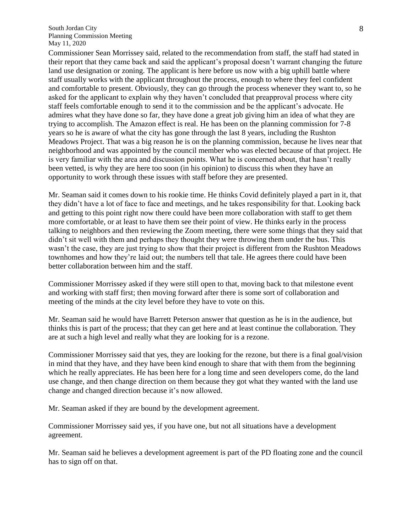Commissioner Sean Morrissey said, related to the recommendation from staff, the staff had stated in their report that they came back and said the applicant's proposal doesn't warrant changing the future land use designation or zoning. The applicant is here before us now with a big uphill battle where staff usually works with the applicant throughout the process, enough to where they feel confident and comfortable to present. Obviously, they can go through the process whenever they want to, so he asked for the applicant to explain why they haven't concluded that preapproval process where city staff feels comfortable enough to send it to the commission and be the applicant's advocate. He admires what they have done so far, they have done a great job giving him an idea of what they are trying to accomplish. The Amazon effect is real. He has been on the planning commission for 7-8 years so he is aware of what the city has gone through the last 8 years, including the Rushton Meadows Project. That was a big reason he is on the planning commission, because he lives near that neighborhood and was appointed by the council member who was elected because of that project. He is very familiar with the area and discussion points. What he is concerned about, that hasn't really been vetted, is why they are here too soon (in his opinion) to discuss this when they have an opportunity to work through these issues with staff before they are presented.

Mr. Seaman said it comes down to his rookie time. He thinks Covid definitely played a part in it, that they didn't have a lot of face to face and meetings, and he takes responsibility for that. Looking back and getting to this point right now there could have been more collaboration with staff to get them more comfortable, or at least to have them see their point of view. He thinks early in the process talking to neighbors and then reviewing the Zoom meeting, there were some things that they said that didn't sit well with them and perhaps they thought they were throwing them under the bus. This wasn't the case, they are just trying to show that their project is different from the Rushton Meadows townhomes and how they're laid out; the numbers tell that tale. He agrees there could have been better collaboration between him and the staff.

Commissioner Morrissey asked if they were still open to that, moving back to that milestone event and working with staff first; then moving forward after there is some sort of collaboration and meeting of the minds at the city level before they have to vote on this.

Mr. Seaman said he would have Barrett Peterson answer that question as he is in the audience, but thinks this is part of the process; that they can get here and at least continue the collaboration. They are at such a high level and really what they are looking for is a rezone.

Commissioner Morrissey said that yes, they are looking for the rezone, but there is a final goal/vision in mind that they have, and they have been kind enough to share that with them from the beginning which he really appreciates. He has been here for a long time and seen developers come, do the land use change, and then change direction on them because they got what they wanted with the land use change and changed direction because it's now allowed.

Mr. Seaman asked if they are bound by the development agreement.

Commissioner Morrissey said yes, if you have one, but not all situations have a development agreement.

Mr. Seaman said he believes a development agreement is part of the PD floating zone and the council has to sign off on that.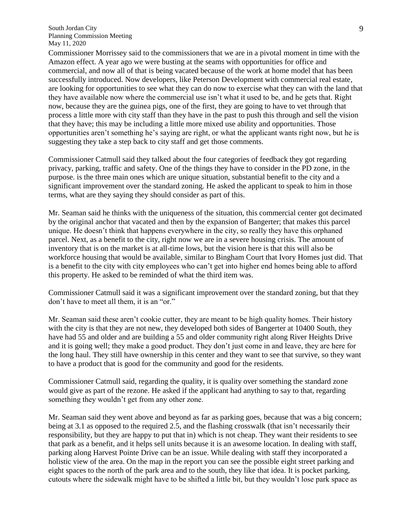Commissioner Morrissey said to the commissioners that we are in a pivotal moment in time with the Amazon effect. A year ago we were busting at the seams with opportunities for office and commercial, and now all of that is being vacated because of the work at home model that has been successfully introduced. Now developers, like Peterson Development with commercial real estate, are looking for opportunities to see what they can do now to exercise what they can with the land that they have available now where the commercial use isn't what it used to be, and he gets that. Right now, because they are the guinea pigs, one of the first, they are going to have to vet through that process a little more with city staff than they have in the past to push this through and sell the vision that they have; this may be including a little more mixed use ability and opportunities. Those opportunities aren't something he's saying are right, or what the applicant wants right now, but he is suggesting they take a step back to city staff and get those comments.

Commissioner Catmull said they talked about the four categories of feedback they got regarding privacy, parking, traffic and safety. One of the things they have to consider in the PD zone, in the purpose. is the three main ones which are unique situation, substantial benefit to the city and a significant improvement over the standard zoning. He asked the applicant to speak to him in those terms, what are they saying they should consider as part of this.

Mr. Seaman said he thinks with the uniqueness of the situation, this commercial center got decimated by the original anchor that vacated and then by the expansion of Bangerter; that makes this parcel unique. He doesn't think that happens everywhere in the city, so really they have this orphaned parcel. Next, as a benefit to the city, right now we are in a severe housing crisis. The amount of inventory that is on the market is at all-time lows, but the vision here is that this will also be workforce housing that would be available, similar to Bingham Court that Ivory Homes just did. That is a benefit to the city with city employees who can't get into higher end homes being able to afford this property. He asked to be reminded of what the third item was.

Commissioner Catmull said it was a significant improvement over the standard zoning, but that they don't have to meet all them, it is an "or."

Mr. Seaman said these aren't cookie cutter, they are meant to be high quality homes. Their history with the city is that they are not new, they developed both sides of Bangerter at 10400 South, they have had 55 and older and are building a 55 and older community right along River Heights Drive and it is going well; they make a good product. They don't just come in and leave, they are here for the long haul. They still have ownership in this center and they want to see that survive, so they want to have a product that is good for the community and good for the residents.

Commissioner Catmull said, regarding the quality, it is quality over something the standard zone would give as part of the rezone. He asked if the applicant had anything to say to that, regarding something they wouldn't get from any other zone.

Mr. Seaman said they went above and beyond as far as parking goes, because that was a big concern; being at 3.1 as opposed to the required 2.5, and the flashing crosswalk (that isn't necessarily their responsibility, but they are happy to put that in) which is not cheap. They want their residents to see that park as a benefit, and it helps sell units because it is an awesome location. In dealing with staff, parking along Harvest Pointe Drive can be an issue. While dealing with staff they incorporated a holistic view of the area. On the map in the report you can see the possible eight street parking and eight spaces to the north of the park area and to the south, they like that idea. It is pocket parking, cutouts where the sidewalk might have to be shifted a little bit, but they wouldn't lose park space as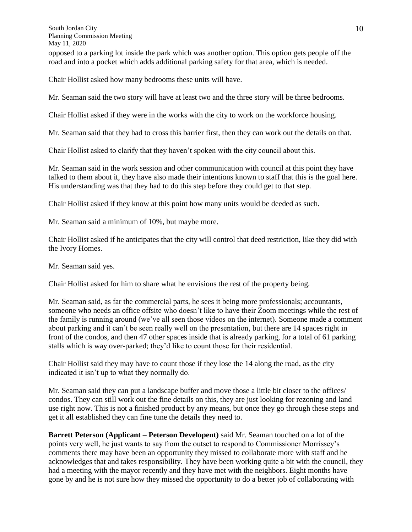South Jordan City Planning Commission Meeting May 11, 2020 opposed to a parking lot inside the park which was another option. This option gets people off the road and into a pocket which adds additional parking safety for that area, which is needed.

Chair Hollist asked how many bedrooms these units will have.

Mr. Seaman said the two story will have at least two and the three story will be three bedrooms.

Chair Hollist asked if they were in the works with the city to work on the workforce housing.

Mr. Seaman said that they had to cross this barrier first, then they can work out the details on that.

Chair Hollist asked to clarify that they haven't spoken with the city council about this.

Mr. Seaman said in the work session and other communication with council at this point they have talked to them about it, they have also made their intentions known to staff that this is the goal here. His understanding was that they had to do this step before they could get to that step.

Chair Hollist asked if they know at this point how many units would be deeded as such.

Mr. Seaman said a minimum of 10%, but maybe more.

Chair Hollist asked if he anticipates that the city will control that deed restriction, like they did with the Ivory Homes.

Mr. Seaman said yes.

Chair Hollist asked for him to share what he envisions the rest of the property being.

Mr. Seaman said, as far the commercial parts, he sees it being more professionals; accountants, someone who needs an office offsite who doesn't like to have their Zoom meetings while the rest of the family is running around (we've all seen those videos on the internet). Someone made a comment about parking and it can't be seen really well on the presentation, but there are 14 spaces right in front of the condos, and then 47 other spaces inside that is already parking, for a total of 61 parking stalls which is way over-parked; they'd like to count those for their residential.

Chair Hollist said they may have to count those if they lose the 14 along the road, as the city indicated it isn't up to what they normally do.

Mr. Seaman said they can put a landscape buffer and move those a little bit closer to the offices/ condos. They can still work out the fine details on this, they are just looking for rezoning and land use right now. This is not a finished product by any means, but once they go through these steps and get it all established they can fine tune the details they need to.

**Barrett Peterson (Applicant – Peterson Developent)** said Mr. Seaman touched on a lot of the points very well, he just wants to say from the outset to respond to Commissioner Morrissey's comments there may have been an opportunity they missed to collaborate more with staff and he acknowledges that and takes responsibility. They have been working quite a bit with the council, they had a meeting with the mayor recently and they have met with the neighbors. Eight months have gone by and he is not sure how they missed the opportunity to do a better job of collaborating with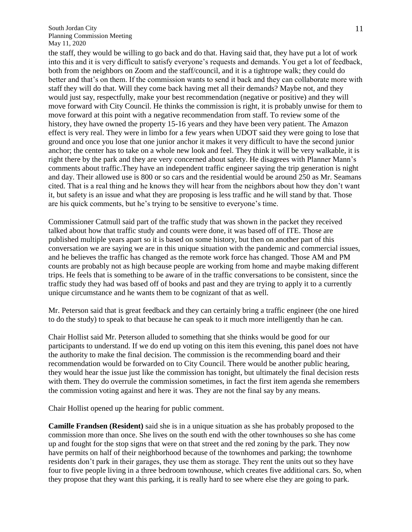the staff, they would be willing to go back and do that. Having said that, they have put a lot of work into this and it is very difficult to satisfy everyone's requests and demands. You get a lot of feedback, both from the neighbors on Zoom and the staff/council, and it is a tightrope walk; they could do better and that's on them. If the commission wants to send it back and they can collaborate more with staff they will do that. Will they come back having met all their demands? Maybe not, and they would just say, respectfully, make your best recommendation (negative or positive) and they will move forward with City Council. He thinks the commission is right, it is probably unwise for them to move forward at this point with a negative recommendation from staff. To review some of the history, they have owned the property 15-16 years and they have been very patient. The Amazon effect is very real. They were in limbo for a few years when UDOT said they were going to lose that ground and once you lose that one junior anchor it makes it very difficult to have the second junior anchor; the center has to take on a whole new look and feel. They think it will be very walkable, it is right there by the park and they are very concerned about safety. He disagrees with Planner Mann's comments about traffic.They have an independent traffic engineer saying the trip generation is night and day. Their allowed use is 800 or so cars and the residential would be around 250 as Mr. Seamans cited. That is a real thing and he knows they will hear from the neighbors about how they don't want it, but safety is an issue and what they are proposing is less traffic and he will stand by that. Those are his quick comments, but he's trying to be sensitive to everyone's time.

Commissioner Catmull said part of the traffic study that was shown in the packet they received talked about how that traffic study and counts were done, it was based off of ITE. Those are published multiple years apart so it is based on some history, but then on another part of this conversation we are saying we are in this unique situation with the pandemic and commercial issues, and he believes the traffic has changed as the remote work force has changed. Those AM and PM counts are probably not as high because people are working from home and maybe making different trips. He feels that is something to be aware of in the traffic conversations to be consistent, since the traffic study they had was based off of books and past and they are trying to apply it to a currently unique circumstance and he wants them to be cognizant of that as well.

Mr. Peterson said that is great feedback and they can certainly bring a traffic engineer (the one hired to do the study) to speak to that because he can speak to it much more intelligently than he can.

Chair Hollist said Mr. Peterson alluded to something that she thinks would be good for our participants to understand. If we do end up voting on this item this evening, this panel does not have the authority to make the final decision. The commission is the recommending board and their recommendation would be forwarded on to City Council. There would be another public hearing, they would hear the issue just like the commission has tonight, but ultimately the final decision rests with them. They do overrule the commission sometimes, in fact the first item agenda she remembers the commission voting against and here it was. They are not the final say by any means.

Chair Hollist opened up the hearing for public comment.

**Camille Frandsen (Resident)** said she is in a unique situation as she has probably proposed to the commission more than once. She lives on the south end with the other townhouses so she has come up and fought for the stop signs that were on that street and the red zoning by the park. They now have permits on half of their neighborhood because of the townhomes and parking; the townhome residents don't park in their garages, they use them as storage. They rent the units out so they have four to five people living in a three bedroom townhouse, which creates five additional cars. So, when they propose that they want this parking, it is really hard to see where else they are going to park.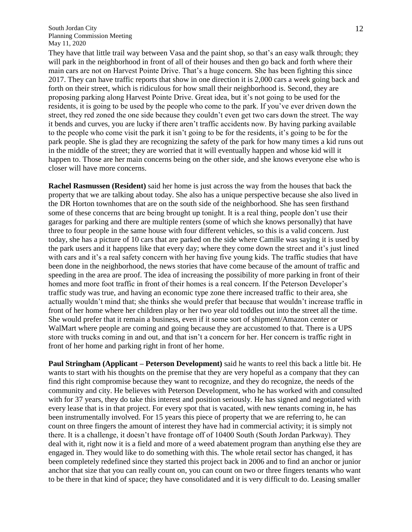They have that little trail way between Vasa and the paint shop, so that's an easy walk through; they will park in the neighborhood in front of all of their houses and then go back and forth where their main cars are not on Harvest Pointe Drive. That's a huge concern. She has been fighting this since 2017. They can have traffic reports that show in one direction it is 2,000 cars a week going back and forth on their street, which is ridiculous for how small their neighborhood is. Second, they are proposing parking along Harvest Pointe Drive. Great idea, but it's not going to be used for the residents, it is going to be used by the people who come to the park. If you've ever driven down the street, they red zoned the one side because they couldn't even get two cars down the street. The way it bends and curves, you are lucky if there aren't traffic accidents now. By having parking available to the people who come visit the park it isn't going to be for the residents, it's going to be for the park people. She is glad they are recognizing the safety of the park for how many times a kid runs out in the middle of the street; they are worried that it will eventually happen and whose kid will it happen to. Those are her main concerns being on the other side, and she knows everyone else who is closer will have more concerns.

**Rachel Rasmussen (Resident)** said her home is just across the way from the houses that back the property that we are talking about today. She also has a unique perspective because she also lived in the DR Horton townhomes that are on the south side of the neighborhood. She has seen firsthand some of these concerns that are being brought up tonight. It is a real thing, people don't use their garages for parking and there are multiple renters (some of which she knows personally) that have three to four people in the same house with four different vehicles, so this is a valid concern. Just today, she has a picture of 10 cars that are parked on the side where Camille was saying it is used by the park users and it happens like that every day; where they come down the street and it's just lined with cars and it's a real safety concern with her having five young kids. The traffic studies that have been done in the neighborhood, the news stories that have come because of the amount of traffic and speeding in the area are proof. The idea of increasing the possibility of more parking in front of their homes and more foot traffic in front of their homes is a real concern. If the Peterson Developer's traffic study was true, and having an economic type zone there increased traffic to their area, she actually wouldn't mind that; she thinks she would prefer that because that wouldn't increase traffic in front of her home where her children play or her two year old toddles out into the street all the time. She would prefer that it remain a business, even if it some sort of shipment/Amazon center or WalMart where people are coming and going because they are accustomed to that. There is a UPS store with trucks coming in and out, and that isn't a concern for her. Her concern is traffic right in front of her home and parking right in front of her home.

**Paul Stringham (Applicant – Peterson Development)** said he wants to reel this back a little bit. He wants to start with his thoughts on the premise that they are very hopeful as a company that they can find this right compromise because they want to recognize, and they do recognize, the needs of the community and city. He believes with Peterson Development, who he has worked with and consulted with for 37 years, they do take this interest and position seriously. He has signed and negotiated with every lease that is in that project. For every spot that is vacated, with new tenants coming in, he has been instrumentally involved. For 15 years this piece of property that we are referring to, he can count on three fingers the amount of interest they have had in commercial activity; it is simply not there. It is a challenge, it doesn't have frontage off of 10400 South (South Jordan Parkway). They deal with it, right now it is a field and more of a weed abatement program than anything else they are engaged in. They would like to do something with this. The whole retail sector has changed, it has been completely redefined since they started this project back in 2006 and to find an anchor or junior anchor that size that you can really count on, you can count on two or three fingers tenants who want to be there in that kind of space; they have consolidated and it is very difficult to do. Leasing smaller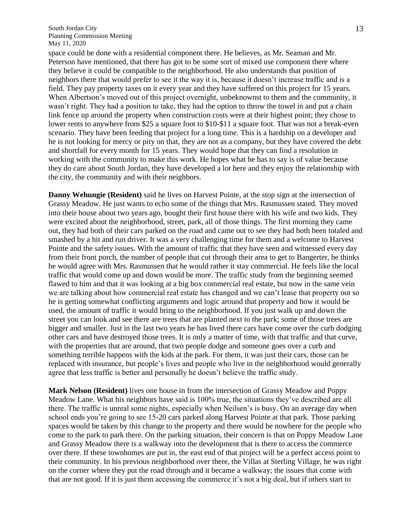space could be done with a residential component there. He believes, as Mr. Seaman and Mr. Peterson have mentioned, that there has got to be some sort of mixed use component there where they believe it could be compatible to the neighborhood. He also understands that position of neighbors there that would prefer to see it the way it is, because it doesn't increase traffic and is a field. They pay property taxes on it every year and they have suffered on this project for 15 years. When Albertson's moved out of this project overnight, unbeknownst to them and the community, it wasn't right. They had a position to take, they had the option to throw the towel in and put a chain link fence up around the property when construction costs were at their highest point; they chose to lower rents to anywhere from \$25 a square foot to \$10-\$11 a square foot. That was not a break-even scenario. They have been feeding that project for a long time. This is a hardship on a developer and he is not looking for mercy or pity on that, they are not as a company, but they have covered the debt and shortfall for every month for 15 years. They would hope that they can find a resolution in working with the community to make this work. He hopes what he has to say is of value because they do care about South Jordan, they have developed a lot here and they enjoy the relationship with the city, the community and with their neighbors.

**Danny Wehungie (Resident)** said he lives on Harvest Pointe, at the stop sign at the intersection of Grassy Meadow. He just wants to echo some of the things that Mrs. Rasmussen stated. They moved into their house about two years ago, bought their first house there with his wife and two kids. They were excited about the neighborhood, street, park, all of those things. The first morning they came out, they had both of their cars parked on the road and came out to see they had both been totaled and smashed by a hit and run driver. It was a very challenging time for them and a welcome to Harvest Pointe and the safety issues. With the amount of traffic that they have seen and witnessed every day from their front porch, the number of people that cut through their area to get to Bangerter, he thinks he would agree with Mrs. Rasmussen that he would rather it stay commercial. He feels like the local traffic that would come up and down would be more. The traffic study from the beginning seemed flawed to him and that it was looking at a big box commercial real estate, but now in the same vein we are talking about how commercial real estate has changed and we can't lease that property out so he is getting somewhat conflicting arguments and logic around that property and how it would be used, the amount of traffic it would bring to the neighborhood. If you just walk up and down the street you can look and see there are trees that are planted next to the park; some of those trees are bigger and smaller. Just in the last two years he has lived there cars have come over the curb dodging other cars and have destroyed those trees. It is only a matter of time, with that traffic and that curve, with the properties that are around, that two people dodge and someone goes over a curb and something terrible happens with the kids at the park. For them, it was just their cars, those can be replaced with insurance, but people's lives and people who live in the neighborhood would generally agree that less traffic is better and personally he doesn't believe the traffic study.

**Mark Nelson (Resident)** lives one house in from the intersection of Grassy Meadow and Poppy Meadow Lane. What his neighbors have said is 100% true, the situations they've described are all there. The traffic is unreal some nights, especially when Neilsen's is busy. On an average day when school ends you're going to see 15-20 cars parked along Harvest Pointe at that park. Those parking spaces would be taken by this change to the property and there would be nowhere for the people who come to the park to park there. On the parking situation, their concern is that on Poppy Meadow Lane and Grassy Meadow there is a walkway into the development that is there to access the commerce over there. If these townhomes are put in, the east end of that project will be a perfect access point to their community. In his previous neighborhood over there, the Villas at Sterling Village, he was right on the corner where they put the road through and it became a walkway; the issues that come with that are not good. If it is just them accessing the commerce it's not a big deal, but if others start to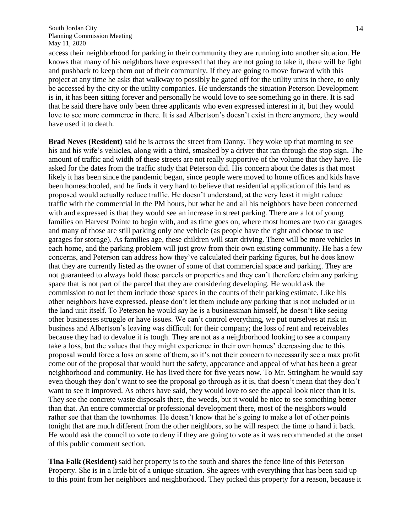access their neighborhood for parking in their community they are running into another situation. He knows that many of his neighbors have expressed that they are not going to take it, there will be fight and pushback to keep them out of their community. If they are going to move forward with this project at any time he asks that walkway to possibly be gated off for the utility units in there, to only be accessed by the city or the utility companies. He understands the situation Peterson Development is in, it has been sitting forever and personally he would love to see something go in there. It is sad that he said there have only been three applicants who even expressed interest in it, but they would love to see more commerce in there. It is sad Albertson's doesn't exist in there anymore, they would have used it to death.

**Brad Neves (Resident)** said he is across the street from Danny. They woke up that morning to see his and his wife's vehicles, along with a third, smashed by a driver that ran through the stop sign. The amount of traffic and width of these streets are not really supportive of the volume that they have. He asked for the dates from the traffic study that Peterson did. His concern about the dates is that most likely it has been since the pandemic began, since people were moved to home offices and kids have been homeschooled, and he finds it very hard to believe that residential application of this land as proposed would actually reduce traffic. He doesn't understand, at the very least it might reduce traffic with the commercial in the PM hours, but what he and all his neighbors have been concerned with and expressed is that they would see an increase in street parking. There are a lot of young families on Harvest Pointe to begin with, and as time goes on, where most homes are two car garages and many of those are still parking only one vehicle (as people have the right and choose to use garages for storage). As families age, these children will start driving. There will be more vehicles in each home, and the parking problem will just grow from their own existing community. He has a few concerns, and Peterson can address how they've calculated their parking figures, but he does know that they are currently listed as the owner of some of that commercial space and parking. They are not guaranteed to always hold those parcels or properties and they can't therefore claim any parking space that is not part of the parcel that they are considering developing. He would ask the commission to not let them include those spaces in the counts of their parking estimate. Like his other neighbors have expressed, please don't let them include any parking that is not included or in the land unit itself. To Peterson he would say he is a businessman himself, he doesn't like seeing other businesses struggle or have issues. We can't control everything, we put ourselves at risk in business and Albertson's leaving was difficult for their company; the loss of rent and receivables because they had to devalue it is tough. They are not as a neighborhood looking to see a company take a loss, but the values that they might experience in their own homes' decreasing due to this proposal would force a loss on some of them, so it's not their concern to necessarily see a max profit come out of the proposal that would hurt the safety, appearance and appeal of what has been a great neighborhood and community. He has lived there for five years now. To Mr. Stringham he would say even though they don't want to see the proposal go through as it is, that doesn't mean that they don't want to see it improved. As others have said, they would love to see the appeal look nicer than it is. They see the concrete waste disposals there, the weeds, but it would be nice to see something better than that. An entire commercial or professional development there, most of the neighbors would rather see that than the townhomes. He doesn't know that he's going to make a lot of other points tonight that are much different from the other neighbors, so he will respect the time to hand it back. He would ask the council to vote to deny if they are going to vote as it was recommended at the onset of this public comment section.

**Tina Falk (Resident)** said her property is to the south and shares the fence line of this Peterson Property. She is in a little bit of a unique situation. She agrees with everything that has been said up to this point from her neighbors and neighborhood. They picked this property for a reason, because it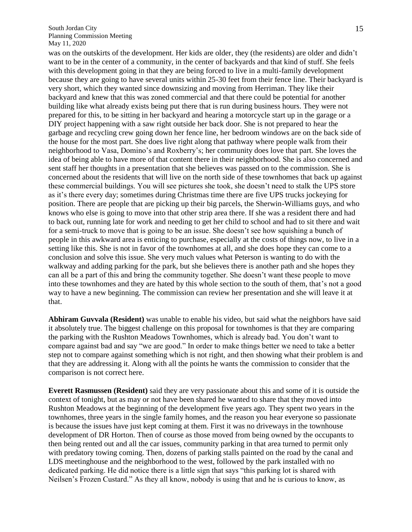was on the outskirts of the development. Her kids are older, they (the residents) are older and didn't want to be in the center of a community, in the center of backyards and that kind of stuff. She feels with this development going in that they are being forced to live in a multi-family development because they are going to have several units within 25-30 feet from their fence line. Their backyard is very short, which they wanted since downsizing and moving from Herriman. They like their backyard and knew that this was zoned commercial and that there could be potential for another building like what already exists being put there that is run during business hours. They were not prepared for this, to be sitting in her backyard and hearing a motorcycle start up in the garage or a DIY project happening with a saw right outside her back door. She is not prepared to hear the garbage and recycling crew going down her fence line, her bedroom windows are on the back side of the house for the most part. She does live right along that pathway where people walk from their neighborhood to Vasa, Domino's and Roxberry's; her community does love that part. She loves the idea of being able to have more of that content there in their neighborhood. She is also concerned and sent staff her thoughts in a presentation that she believes was passed on to the commission. She is concerned about the residents that will live on the north side of these townhomes that back up against these commercial buildings. You will see pictures she took, she doesn't need to stalk the UPS store as it's there every day; sometimes during Christmas time there are five UPS trucks jockeying for position. There are people that are picking up their big parcels, the Sherwin-Williams guys, and who knows who else is going to move into that other strip area there. If she was a resident there and had to back out, running late for work and needing to get her child to school and had to sit there and wait for a semi-truck to move that is going to be an issue. She doesn't see how squishing a bunch of people in this awkward area is enticing to purchase, especially at the costs of things now, to live in a setting like this. She is not in favor of the townhomes at all, and she does hope they can come to a conclusion and solve this issue. She very much values what Peterson is wanting to do with the walkway and adding parking for the park, but she believes there is another path and she hopes they can all be a part of this and bring the community together. She doesn't want these people to move into these townhomes and they are hated by this whole section to the south of them, that's not a good way to have a new beginning. The commission can review her presentation and she will leave it at that.

**Abhiram Guvvala (Resident)** was unable to enable his video, but said what the neighbors have said it absolutely true. The biggest challenge on this proposal for townhomes is that they are comparing the parking with the Rushton Meadows Townhomes, which is already bad. You don't want to compare against bad and say "we are good." In order to make things better we need to take a better step not to compare against something which is not right, and then showing what their problem is and that they are addressing it. Along with all the points he wants the commission to consider that the comparison is not correct here.

**Everett Rasmussen (Resident)** said they are very passionate about this and some of it is outside the context of tonight, but as may or not have been shared he wanted to share that they moved into Rushton Meadows at the beginning of the development five years ago. They spent two years in the townhomes, three years in the single family homes, and the reason you hear everyone so passionate is because the issues have just kept coming at them. First it was no driveways in the townhouse development of DR Horton. Then of course as those moved from being owned by the occupants to then being rented out and all the car issues, community parking in that area turned to permit only with predatory towing coming. Then, dozens of parking stalls painted on the road by the canal and LDS meetinghouse and the neighborhood to the west, followed by the park installed with no dedicated parking. He did notice there is a little sign that says "this parking lot is shared with Neilsen's Frozen Custard." As they all know, nobody is using that and he is curious to know, as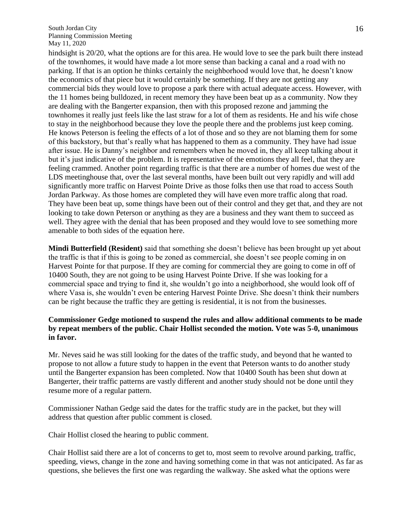hindsight is 20/20, what the options are for this area. He would love to see the park built there instead of the townhomes, it would have made a lot more sense than backing a canal and a road with no parking. If that is an option he thinks certainly the neighborhood would love that, he doesn't know the economics of that piece but it would certainly be something. If they are not getting any commercial bids they would love to propose a park there with actual adequate access. However, with the 11 homes being bulldozed, in recent memory they have been beat up as a community. Now they are dealing with the Bangerter expansion, then with this proposed rezone and jamming the townhomes it really just feels like the last straw for a lot of them as residents. He and his wife chose to stay in the neighborhood because they love the people there and the problems just keep coming. He knows Peterson is feeling the effects of a lot of those and so they are not blaming them for some of this backstory, but that's really what has happened to them as a community. They have had issue after issue. He is Danny's neighbor and remembers when he moved in, they all keep talking about it but it's just indicative of the problem. It is representative of the emotions they all feel, that they are feeling crammed. Another point regarding traffic is that there are a number of homes due west of the LDS meetinghouse that, over the last several months, have been built out very rapidly and will add significantly more traffic on Harvest Pointe Drive as those folks then use that road to access South Jordan Parkway. As those homes are completed they will have even more traffic along that road. They have been beat up, some things have been out of their control and they get that, and they are not looking to take down Peterson or anything as they are a business and they want them to succeed as well. They agree with the denial that has been proposed and they would love to see something more amenable to both sides of the equation here.

**Mindi Butterfield (Resident)** said that something she doesn't believe has been brought up yet about the traffic is that if this is going to be zoned as commercial, she doesn't see people coming in on Harvest Pointe for that purpose. If they are coming for commercial they are going to come in off of 10400 South, they are not going to be using Harvest Pointe Drive. If she was looking for a commercial space and trying to find it, she wouldn't go into a neighborhood, she would look off of where Vasa is, she wouldn't even be entering Harvest Pointe Drive. She doesn't think their numbers can be right because the traffic they are getting is residential, it is not from the businesses.

### **Commissioner Gedge motioned to suspend the rules and allow additional comments to be made by repeat members of the public. Chair Hollist seconded the motion. Vote was 5-0, unanimous in favor.**

Mr. Neves said he was still looking for the dates of the traffic study, and beyond that he wanted to propose to not allow a future study to happen in the event that Peterson wants to do another study until the Bangerter expansion has been completed. Now that 10400 South has been shut down at Bangerter, their traffic patterns are vastly different and another study should not be done until they resume more of a regular pattern.

Commissioner Nathan Gedge said the dates for the traffic study are in the packet, but they will address that question after public comment is closed.

Chair Hollist closed the hearing to public comment.

Chair Hollist said there are a lot of concerns to get to, most seem to revolve around parking, traffic, speeding, views, change in the zone and having something come in that was not anticipated. As far as questions, she believes the first one was regarding the walkway. She asked what the options were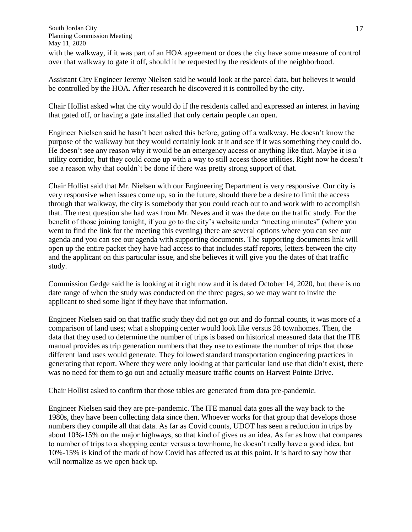South Jordan City Planning Commission Meeting May 11, 2020 with the walkway, if it was part of an HOA agreement or does the city have some measure of control over that walkway to gate it off, should it be requested by the residents of the neighborhood.

Assistant City Engineer Jeremy Nielsen said he would look at the parcel data, but believes it would be controlled by the HOA. After research he discovered it is controlled by the city.

Chair Hollist asked what the city would do if the residents called and expressed an interest in having that gated off, or having a gate installed that only certain people can open.

Engineer Nielsen said he hasn't been asked this before, gating off a walkway. He doesn't know the purpose of the walkway but they would certainly look at it and see if it was something they could do. He doesn't see any reason why it would be an emergency access or anything like that. Maybe it is a utility corridor, but they could come up with a way to still access those utilities. Right now he doesn't see a reason why that couldn't be done if there was pretty strong support of that.

Chair Hollist said that Mr. Nielsen with our Engineering Department is very responsive. Our city is very responsive when issues come up, so in the future, should there be a desire to limit the access through that walkway, the city is somebody that you could reach out to and work with to accomplish that. The next question she had was from Mr. Neves and it was the date on the traffic study. For the benefit of those joining tonight, if you go to the city's website under "meeting minutes" (where you went to find the link for the meeting this evening) there are several options where you can see our agenda and you can see our agenda with supporting documents. The supporting documents link will open up the entire packet they have had access to that includes staff reports, letters between the city and the applicant on this particular issue, and she believes it will give you the dates of that traffic study.

Commission Gedge said he is looking at it right now and it is dated October 14, 2020, but there is no date range of when the study was conducted on the three pages, so we may want to invite the applicant to shed some light if they have that information.

Engineer Nielsen said on that traffic study they did not go out and do formal counts, it was more of a comparison of land uses; what a shopping center would look like versus 28 townhomes. Then, the data that they used to determine the number of trips is based on historical measured data that the ITE manual provides as trip generation numbers that they use to estimate the number of trips that those different land uses would generate. They followed standard transportation engineering practices in generating that report. Where they were only looking at that particular land use that didn't exist, there was no need for them to go out and actually measure traffic counts on Harvest Pointe Drive.

Chair Hollist asked to confirm that those tables are generated from data pre-pandemic.

Engineer Nielsen said they are pre-pandemic. The ITE manual data goes all the way back to the 1980s, they have been collecting data since then. Whoever works for that group that develops those numbers they compile all that data. As far as Covid counts, UDOT has seen a reduction in trips by about 10%-15% on the major highways, so that kind of gives us an idea. As far as how that compares to number of trips to a shopping center versus a townhome, he doesn't really have a good idea, but 10%-15% is kind of the mark of how Covid has affected us at this point. It is hard to say how that will normalize as we open back up.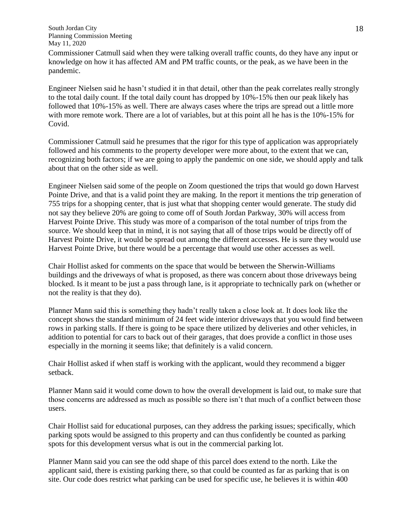Commissioner Catmull said when they were talking overall traffic counts, do they have any input or knowledge on how it has affected AM and PM traffic counts, or the peak, as we have been in the pandemic.

Engineer Nielsen said he hasn't studied it in that detail, other than the peak correlates really strongly to the total daily count. If the total daily count has dropped by 10%-15% then our peak likely has followed that 10%-15% as well. There are always cases where the trips are spread out a little more with more remote work. There are a lot of variables, but at this point all he has is the 10%-15% for Covid.

Commissioner Catmull said he presumes that the rigor for this type of application was appropriately followed and his comments to the property developer were more about, to the extent that we can, recognizing both factors; if we are going to apply the pandemic on one side, we should apply and talk about that on the other side as well.

Engineer Nielsen said some of the people on Zoom questioned the trips that would go down Harvest Pointe Drive, and that is a valid point they are making. In the report it mentions the trip generation of 755 trips for a shopping center, that is just what that shopping center would generate. The study did not say they believe 20% are going to come off of South Jordan Parkway, 30% will access from Harvest Pointe Drive. This study was more of a comparison of the total number of trips from the source. We should keep that in mind, it is not saying that all of those trips would be directly off of Harvest Pointe Drive, it would be spread out among the different accesses. He is sure they would use Harvest Pointe Drive, but there would be a percentage that would use other accesses as well.

Chair Hollist asked for comments on the space that would be between the Sherwin-Williams buildings and the driveways of what is proposed, as there was concern about those driveways being blocked. Is it meant to be just a pass through lane, is it appropriate to technically park on (whether or not the reality is that they do).

Planner Mann said this is something they hadn't really taken a close look at. It does look like the concept shows the standard minimum of 24 feet wide interior driveways that you would find between rows in parking stalls. If there is going to be space there utilized by deliveries and other vehicles, in addition to potential for cars to back out of their garages, that does provide a conflict in those uses especially in the morning it seems like; that definitely is a valid concern.

Chair Hollist asked if when staff is working with the applicant, would they recommend a bigger setback.

Planner Mann said it would come down to how the overall development is laid out, to make sure that those concerns are addressed as much as possible so there isn't that much of a conflict between those users.

Chair Hollist said for educational purposes, can they address the parking issues; specifically, which parking spots would be assigned to this property and can thus confidently be counted as parking spots for this development versus what is out in the commercial parking lot.

Planner Mann said you can see the odd shape of this parcel does extend to the north. Like the applicant said, there is existing parking there, so that could be counted as far as parking that is on site. Our code does restrict what parking can be used for specific use, he believes it is within 400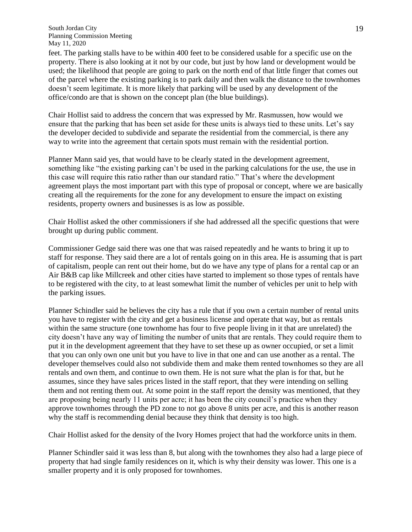feet. The parking stalls have to be within 400 feet to be considered usable for a specific use on the property. There is also looking at it not by our code, but just by how land or development would be used; the likelihood that people are going to park on the north end of that little finger that comes out of the parcel where the existing parking is to park daily and then walk the distance to the townhomes doesn't seem legitimate. It is more likely that parking will be used by any development of the office/condo are that is shown on the concept plan (the blue buildings).

Chair Hollist said to address the concern that was expressed by Mr. Rasmussen, how would we ensure that the parking that has been set aside for these units is always tied to these units. Let's say the developer decided to subdivide and separate the residential from the commercial, is there any way to write into the agreement that certain spots must remain with the residential portion.

Planner Mann said yes, that would have to be clearly stated in the development agreement, something like "the existing parking can't be used in the parking calculations for the use, the use in this case will require this ratio rather than our standard ratio." That's where the development agreement plays the most important part with this type of proposal or concept, where we are basically creating all the requirements for the zone for any development to ensure the impact on existing residents, property owners and businesses is as low as possible.

Chair Hollist asked the other commissioners if she had addressed all the specific questions that were brought up during public comment.

Commissioner Gedge said there was one that was raised repeatedly and he wants to bring it up to staff for response. They said there are a lot of rentals going on in this area. He is assuming that is part of capitalism, people can rent out their home, but do we have any type of plans for a rental cap or an Air B&B cap like Millcreek and other cities have started to implement so those types of rentals have to be registered with the city, to at least somewhat limit the number of vehicles per unit to help with the parking issues.

Planner Schindler said he believes the city has a rule that if you own a certain number of rental units you have to register with the city and get a business license and operate that way, but as rentals within the same structure (one townhome has four to five people living in it that are unrelated) the city doesn't have any way of limiting the number of units that are rentals. They could require them to put it in the development agreement that they have to set these up as owner occupied, or set a limit that you can only own one unit but you have to live in that one and can use another as a rental. The developer themselves could also not subdivide them and make them rented townhomes so they are all rentals and own them, and continue to own them. He is not sure what the plan is for that, but he assumes, since they have sales prices listed in the staff report, that they were intending on selling them and not renting them out. At some point in the staff report the density was mentioned, that they are proposing being nearly 11 units per acre; it has been the city council's practice when they approve townhomes through the PD zone to not go above 8 units per acre, and this is another reason why the staff is recommending denial because they think that density is too high.

Chair Hollist asked for the density of the Ivory Homes project that had the workforce units in them.

Planner Schindler said it was less than 8, but along with the townhomes they also had a large piece of property that had single family residences on it, which is why their density was lower. This one is a smaller property and it is only proposed for townhomes.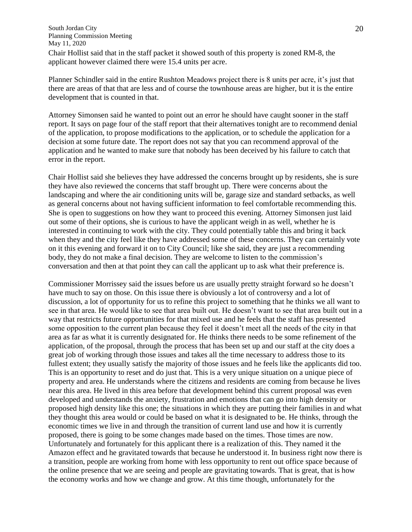South Jordan City Planning Commission Meeting May 11, 2020 Chair Hollist said that in the staff packet it showed south of this property is zoned RM-8, the

applicant however claimed there were 15.4 units per acre.

Planner Schindler said in the entire Rushton Meadows project there is 8 units per acre, it's just that there are areas of that that are less and of course the townhouse areas are higher, but it is the entire development that is counted in that.

Attorney Simonsen said he wanted to point out an error he should have caught sooner in the staff report. It says on page four of the staff report that their alternatives tonight are to recommend denial of the application, to propose modifications to the application, or to schedule the application for a decision at some future date. The report does not say that you can recommend approval of the application and he wanted to make sure that nobody has been deceived by his failure to catch that error in the report.

Chair Hollist said she believes they have addressed the concerns brought up by residents, she is sure they have also reviewed the concerns that staff brought up. There were concerns about the landscaping and where the air conditioning units will be, garage size and standard setbacks, as well as general concerns about not having sufficient information to feel comfortable recommending this. She is open to suggestions on how they want to proceed this evening. Attorney Simonsen just laid out some of their options, she is curious to have the applicant weigh in as well, whether he is interested in continuing to work with the city. They could potentially table this and bring it back when they and the city feel like they have addressed some of these concerns. They can certainly vote on it this evening and forward it on to City Council; like she said, they are just a recommending body, they do not make a final decision. They are welcome to listen to the commission's conversation and then at that point they can call the applicant up to ask what their preference is.

Commissioner Morrissey said the issues before us are usually pretty straight forward so he doesn't have much to say on those. On this issue there is obviously a lot of controversy and a lot of discussion, a lot of opportunity for us to refine this project to something that he thinks we all want to see in that area. He would like to see that area built out. He doesn't want to see that area built out in a way that restricts future opportunities for that mixed use and he feels that the staff has presented some opposition to the current plan because they feel it doesn't meet all the needs of the city in that area as far as what it is currently designated for. He thinks there needs to be some refinement of the application, of the proposal, through the process that has been set up and our staff at the city does a great job of working through those issues and takes all the time necessary to address those to its fullest extent; they usually satisfy the majority of those issues and he feels like the applicants did too. This is an opportunity to reset and do just that. This is a very unique situation on a unique piece of property and area. He understands where the citizens and residents are coming from because he lives near this area. He lived in this area before that development behind this current proposal was even developed and understands the anxiety, frustration and emotions that can go into high density or proposed high density like this one; the situations in which they are putting their families in and what they thought this area would or could be based on what it is designated to be. He thinks, through the economic times we live in and through the transition of current land use and how it is currently proposed, there is going to be some changes made based on the times. Those times are now. Unfortunately and fortunately for this applicant there is a realization of this. They named it the Amazon effect and he gravitated towards that because he understood it. In business right now there is a transition, people are working from home with less opportunity to rent out office space because of the online presence that we are seeing and people are gravitating towards. That is great, that is how the economy works and how we change and grow. At this time though, unfortunately for the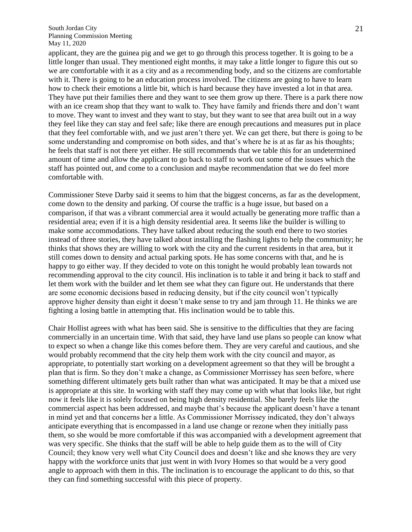applicant, they are the guinea pig and we get to go through this process together. It is going to be a little longer than usual. They mentioned eight months, it may take a little longer to figure this out so we are comfortable with it as a city and as a recommending body, and so the citizens are comfortable with it. There is going to be an education process involved. The citizens are going to have to learn how to check their emotions a little bit, which is hard because they have invested a lot in that area. They have put their families there and they want to see them grow up there. There is a park there now with an ice cream shop that they want to walk to. They have family and friends there and don't want to move. They want to invest and they want to stay, but they want to see that area built out in a way they feel like they can stay and feel safe; like there are enough precautions and measures put in place that they feel comfortable with, and we just aren't there yet. We can get there, but there is going to be some understanding and compromise on both sides, and that's where he is at as far as his thoughts; he feels that staff is not there yet either. He still recommends that we table this for an undetermined amount of time and allow the applicant to go back to staff to work out some of the issues which the staff has pointed out, and come to a conclusion and maybe recommendation that we do feel more comfortable with.

Commissioner Steve Darby said it seems to him that the biggest concerns, as far as the development, come down to the density and parking. Of course the traffic is a huge issue, but based on a comparison, if that was a vibrant commercial area it would actually be generating more traffic than a residential area; even if it is a high density residential area. It seems like the builder is willing to make some accommodations. They have talked about reducing the south end there to two stories instead of three stories, they have talked about installing the flashing lights to help the community; he thinks that shows they are willing to work with the city and the current residents in that area, but it still comes down to density and actual parking spots. He has some concerns with that, and he is happy to go either way. If they decided to vote on this tonight he would probably lean towards not recommending approval to the city council. His inclination is to table it and bring it back to staff and let them work with the builder and let them see what they can figure out. He understands that there are some economic decisions based in reducing density, but if the city council won't typically approve higher density than eight it doesn't make sense to try and jam through 11. He thinks we are fighting a losing battle in attempting that. His inclination would be to table this.

Chair Hollist agrees with what has been said. She is sensitive to the difficulties that they are facing commercially in an uncertain time. With that said, they have land use plans so people can know what to expect so when a change like this comes before them. They are very careful and cautious, and she would probably recommend that the city help them work with the city council and mayor, as appropriate, to potentially start working on a development agreement so that they will be brought a plan that is firm. So they don't make a change, as Commissioner Morrissey has seen before, where something different ultimately gets built rather than what was anticipated. It may be that a mixed use is appropriate at this site. In working with staff they may come up with what that looks like, but right now it feels like it is solely focused on being high density residential. She barely feels like the commercial aspect has been addressed, and maybe that's because the applicant doesn't have a tenant in mind yet and that concerns her a little. As Commissioner Morrissey indicated, they don't always anticipate everything that is encompassed in a land use change or rezone when they initially pass them, so she would be more comfortable if this was accompanied with a development agreement that was very specific. She thinks that the staff will be able to help guide them as to the will of City Council; they know very well what City Council does and doesn't like and she knows they are very happy with the workforce units that just went in with Ivory Homes so that would be a very good angle to approach with them in this. The inclination is to encourage the applicant to do this, so that they can find something successful with this piece of property.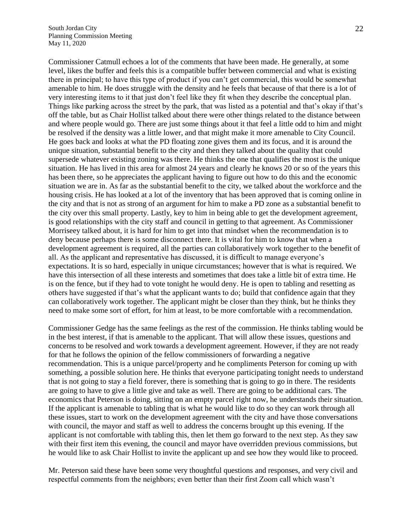Commissioner Catmull echoes a lot of the comments that have been made. He generally, at some level, likes the buffer and feels this is a compatible buffer between commercial and what is existing there in principal; to have this type of product if you can't get commercial, this would be somewhat amenable to him. He does struggle with the density and he feels that because of that there is a lot of very interesting items to it that just don't feel like they fit when they describe the conceptual plan. Things like parking across the street by the park, that was listed as a potential and that's okay if that's off the table, but as Chair Hollist talked about there were other things related to the distance between and where people would go. There are just some things about it that feel a little odd to him and might be resolved if the density was a little lower, and that might make it more amenable to City Council. He goes back and looks at what the PD floating zone gives them and its focus, and it is around the unique situation, substantial benefit to the city and then they talked about the quality that could supersede whatever existing zoning was there. He thinks the one that qualifies the most is the unique situation. He has lived in this area for almost 24 years and clearly he knows 20 or so of the years this has been there, so he appreciates the applicant having to figure out how to do this and the economic situation we are in. As far as the substantial benefit to the city, we talked about the workforce and the housing crisis. He has looked at a lot of the inventory that has been approved that is coming online in the city and that is not as strong of an argument for him to make a PD zone as a substantial benefit to the city over this small property. Lastly, key to him in being able to get the development agreement, is good relationships with the city staff and council in getting to that agreement. As Commissioner Morriseey talked about, it is hard for him to get into that mindset when the recommendation is to deny because perhaps there is some disconnect there. It is vital for him to know that when a development agreement is required, all the parties can collaboratively work together to the benefit of all. As the applicant and representative has discussed, it is difficult to manage everyone's expectations. It is so hard, especially in unique circumstances; however that is what is required. We have this intersection of all these interests and sometimes that does take a little bit of extra time. He is on the fence, but if they had to vote tonight he would deny. He is open to tabling and resetting as others have suggested if that's what the applicant wants to do; build that confidence again that they can collaboratively work together. The applicant might be closer than they think, but he thinks they need to make some sort of effort, for him at least, to be more comfortable with a recommendation.

Commissioner Gedge has the same feelings as the rest of the commission. He thinks tabling would be in the best interest, if that is amenable to the applicant. That will allow these issues, questions and concerns to be resolved and work towards a development agreement. However, if they are not ready for that he follows the opinion of the fellow commissioners of forwarding a negative recommendation. This is a unique parcel/property and he compliments Peterson for coming up with something, a possible solution here. He thinks that everyone participating tonight needs to understand that is not going to stay a field forever, there is something that is going to go in there. The residents are going to have to give a little give and take as well. There are going to be additional cars. The economics that Peterson is doing, sitting on an empty parcel right now, he understands their situation. If the applicant is amenable to tabling that is what he would like to do so they can work through all these issues, start to work on the development agreement with the city and have those conversations with council, the mayor and staff as well to address the concerns brought up this evening. If the applicant is not comfortable with tabling this, then let them go forward to the next step. As they saw with their first item this evening, the council and mayor have overridden previous commissions, but he would like to ask Chair Hollist to invite the applicant up and see how they would like to proceed.

Mr. Peterson said these have been some very thoughtful questions and responses, and very civil and respectful comments from the neighbors; even better than their first Zoom call which wasn't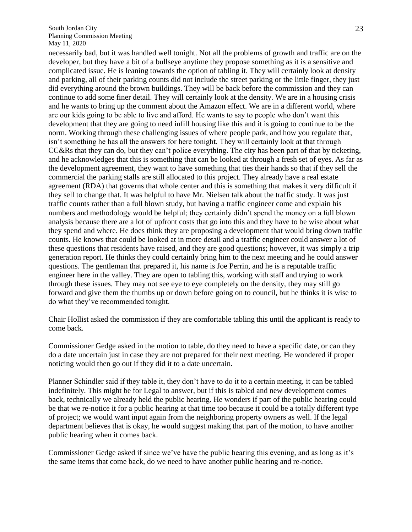necessarily bad, but it was handled well tonight. Not all the problems of growth and traffic are on the developer, but they have a bit of a bullseye anytime they propose something as it is a sensitive and complicated issue. He is leaning towards the option of tabling it. They will certainly look at density and parking, all of their parking counts did not include the street parking or the little finger, they just did everything around the brown buildings. They will be back before the commission and they can continue to add some finer detail. They will certainly look at the density. We are in a housing crisis and he wants to bring up the comment about the Amazon effect. We are in a different world, where are our kids going to be able to live and afford. He wants to say to people who don't want this development that they are going to need infill housing like this and it is going to continue to be the norm. Working through these challenging issues of where people park, and how you regulate that, isn't something he has all the answers for here tonight. They will certainly look at that through CC&Rs that they can do, but they can't police everything. The city has been part of that by ticketing, and he acknowledges that this is something that can be looked at through a fresh set of eyes. As far as the development agreement, they want to have something that ties their hands so that if they sell the commercial the parking stalls are still allocated to this project. They already have a real estate agreement (RDA) that governs that whole center and this is something that makes it very difficult if they sell to change that. It was helpful to have Mr. Nielsen talk about the traffic study. It was just traffic counts rather than a full blown study, but having a traffic engineer come and explain his numbers and methodology would be helpful; they certainly didn't spend the money on a full blown analysis because there are a lot of upfront costs that go into this and they have to be wise about what they spend and where. He does think they are proposing a development that would bring down traffic counts. He knows that could be looked at in more detail and a traffic engineer could answer a lot of these questions that residents have raised, and they are good questions; however, it was simply a trip generation report. He thinks they could certainly bring him to the next meeting and he could answer questions. The gentleman that prepared it, his name is Joe Perrin, and he is a reputable traffic engineer here in the valley. They are open to tabling this, working with staff and trying to work through these issues. They may not see eye to eye completely on the density, they may still go forward and give them the thumbs up or down before going on to council, but he thinks it is wise to do what they've recommended tonight.

Chair Hollist asked the commission if they are comfortable tabling this until the applicant is ready to come back.

Commissioner Gedge asked in the motion to table, do they need to have a specific date, or can they do a date uncertain just in case they are not prepared for their next meeting. He wondered if proper noticing would then go out if they did it to a date uncertain.

Planner Schindler said if they table it, they don't have to do it to a certain meeting, it can be tabled indefinitely. This might be for Legal to answer, but if this is tabled and new development comes back, technically we already held the public hearing. He wonders if part of the public hearing could be that we re-notice it for a public hearing at that time too because it could be a totally different type of project; we would want input again from the neighboring property owners as well. If the legal department believes that is okay, he would suggest making that part of the motion, to have another public hearing when it comes back.

Commissioner Gedge asked if since we've have the public hearing this evening, and as long as it's the same items that come back, do we need to have another public hearing and re-notice.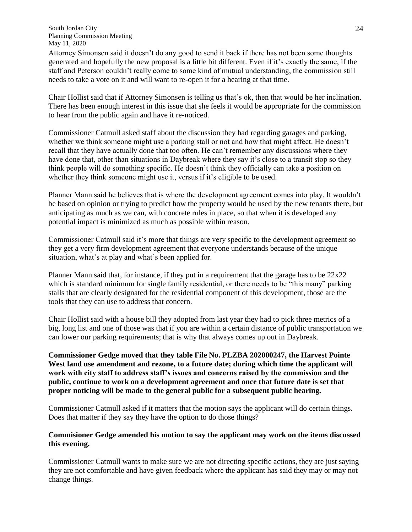Attorney Simonsen said it doesn't do any good to send it back if there has not been some thoughts generated and hopefully the new proposal is a little bit different. Even if it's exactly the same, if the staff and Peterson couldn't really come to some kind of mutual understanding, the commission still needs to take a vote on it and will want to re-open it for a hearing at that time.

Chair Hollist said that if Attorney Simonsen is telling us that's ok, then that would be her inclination. There has been enough interest in this issue that she feels it would be appropriate for the commission to hear from the public again and have it re-noticed.

Commissioner Catmull asked staff about the discussion they had regarding garages and parking, whether we think someone might use a parking stall or not and how that might affect. He doesn't recall that they have actually done that too often. He can't remember any discussions where they have done that, other than situations in Daybreak where they say it's close to a transit stop so they think people will do something specific. He doesn't think they officially can take a position on whether they think someone might use it, versus if it's eligible to be used.

Planner Mann said he believes that is where the development agreement comes into play. It wouldn't be based on opinion or trying to predict how the property would be used by the new tenants there, but anticipating as much as we can, with concrete rules in place, so that when it is developed any potential impact is minimized as much as possible within reason.

Commissioner Catmull said it's more that things are very specific to the development agreement so they get a very firm development agreement that everyone understands because of the unique situation, what's at play and what's been applied for.

Planner Mann said that, for instance, if they put in a requirement that the garage has to be 22x22 which is standard minimum for single family residential, or there needs to be "this many" parking stalls that are clearly designated for the residential component of this development, those are the tools that they can use to address that concern.

Chair Hollist said with a house bill they adopted from last year they had to pick three metrics of a big, long list and one of those was that if you are within a certain distance of public transportation we can lower our parking requirements; that is why that always comes up out in Daybreak.

**Commissioner Gedge moved that they table File No. PLZBA 202000247, the Harvest Pointe West land use amendment and rezone, to a future date; during which time the applicant will work with city staff to address staff's issues and concerns raised by the commission and the public, continue to work on a development agreement and once that future date is set that proper noticing will be made to the general public for a subsequent public hearing.** 

Commissioner Catmull asked if it matters that the motion says the applicant will do certain things. Does that matter if they say they have the option to do those things?

### **Commisioner Gedge amended his motion to say the applicant may work on the items discussed this evening.**

Commissioner Catmull wants to make sure we are not directing specific actions, they are just saying they are not comfortable and have given feedback where the applicant has said they may or may not change things.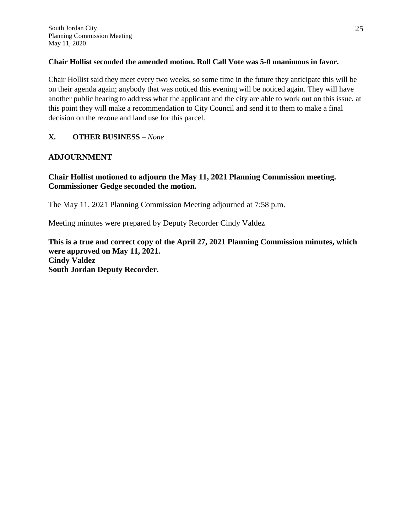### **Chair Hollist seconded the amended motion. Roll Call Vote was 5-0 unanimous in favor.**

Chair Hollist said they meet every two weeks, so some time in the future they anticipate this will be on their agenda again; anybody that was noticed this evening will be noticed again. They will have another public hearing to address what the applicant and the city are able to work out on this issue, at this point they will make a recommendation to City Council and send it to them to make a final decision on the rezone and land use for this parcel.

# **X. OTHER BUSINESS** *– None*

# **ADJOURNMENT**

# **Chair Hollist motioned to adjourn the May 11, 2021 Planning Commission meeting. Commissioner Gedge seconded the motion.**

The May 11, 2021 Planning Commission Meeting adjourned at 7:58 p.m.

Meeting minutes were prepared by Deputy Recorder Cindy Valdez

**This is a true and correct copy of the April 27, 2021 Planning Commission minutes, which were approved on May 11, 2021. Cindy Valdez South Jordan Deputy Recorder.**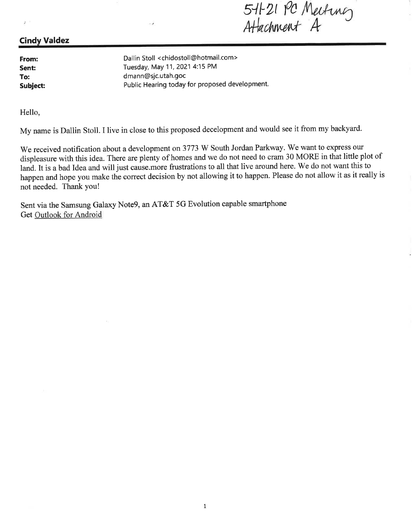5-11-21 PC Meeting<br>Attachment A

# **Cindy Valdez**

From: Sent: To: Subject:

 $\hat{\mathcal{F}}$ 

Dallin Stoll <chidostoll@hotmail.com> Tuesday, May 11, 2021 4:15 PM dmann@sjc.utah.goc Public Hearing today for proposed development.

Hello,

My name is Dallin Stoll. I live in close to this proposed decelopment and would see it from my backyard.

We received notification about a development on 3773 W South Jordan Parkway. We want to express our displeasure with this idea. There are plenty of homes and we do not need to cram 30 MORE in that little plot of land. It is a bad Idea and will just cause more frustrations to all that live around here. We do not want this to happen and hope you make the correct decision by not allowing it to happen. Please do not allow it as it really is not needed. Thank you!

Sent via the Samsung Galaxy Note9, an AT&T 5G Evolution capable smartphone Get Outlook for Android

κÄ